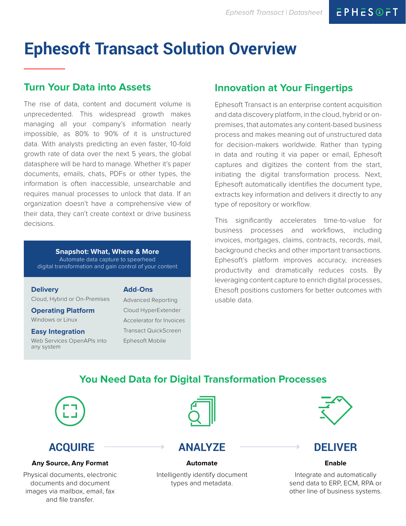# **Ephesoft Transact Solution Overview**

### **Turn Your Data into Assets**

The rise of data, content and document volume is unprecedented. This widespread growth makes managing all your company's information nearly impossible, as 80% to 90% of it is unstructured data. With analysts predicting an even faster, 10-fold growth rate of data over the next 5 years, the global datasphere will be hard to manage. Whether it's paper documents, emails, chats, PDFs or other types, the information is often inaccessible, unsearchable and requires manual processes to unlock that data. If an organization doesn't have a comprehensive view of their data, they can't create context or drive business decisions.

#### **Snapshot: What, Where & More** Automate data capture to spearhead

digital transformation and gain control of your content

#### **Delivery**

Cloud, Hybrid or On-Premises

### **Operating Platform**

Windows or Linux

#### **Easy Integration**

Web Services OpenAPIs into any system

#### **Add-Ons**

Advanced Reporting Cloud HyperExtender Accelerator for Invoices Transact QuickScreen Ephesoft Mobile

### **Innovation at Your Fingertips**

Ephesoft Transact is an enterprise content acquisition and data discovery platform, in the cloud, hybrid or onpremises, that automates any content-based business process and makes meaning out of unstructured data for decision-makers worldwide. Rather than typing in data and routing it via paper or email, Ephesoft captures and digitizes the content from the start, initiating the digital transformation process. Next, Ephesoft automatically identifies the document type, extracts key information and delivers it directly to any type of repository or workflow.

This significantly accelerates time-to-value for business processes and workflows, including invoices, mortgages, claims, contracts, records, mail, background checks and other important transactions. Ephesoft's platform improves accuracy, increases productivity and dramatically reduces costs. By leveraging content capture to enrich digital processes, Ehesoft positions customers for better outcomes with usable data.

### **You Need Data for Digital Transformation Processes**



### **ACQUIRE**

#### **Any Source, Any Format**

Physical documents, electronic documents and document images via mailbox, email, fax and file transfer.



### **ANALYZE**

## **Automate**

Intelligently identify document types and metadata.



### **DELIVER**

#### **Enable**

Integrate and automatically send data to ERP, ECM, RPA or other line of business systems.